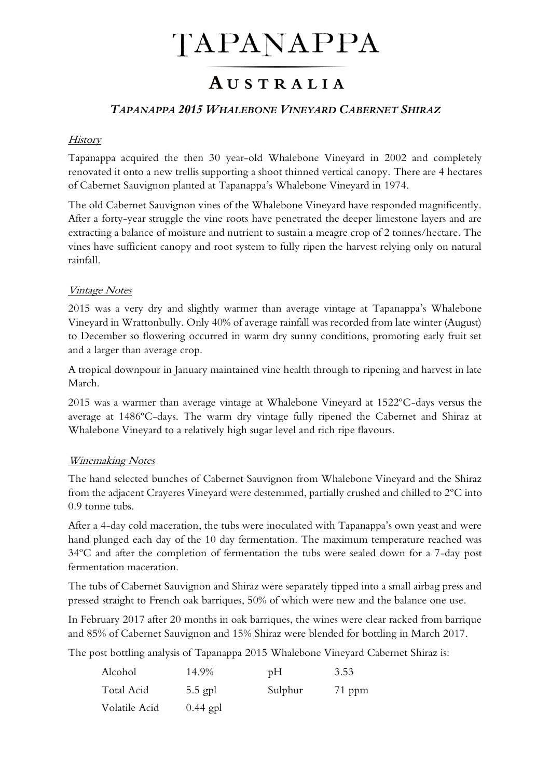# TAPANAPPA

## AUSTRALIA

#### *TAPANAPPA 2015 WHALEBONE VINEYARD CABERNET SHIRAZ*

#### **History**

Tapanappa acquired the then 30 year-old Whalebone Vineyard in 2002 and completely renovated it onto a new trellis supporting a shoot thinned vertical canopy. There are 4 hectares of Cabernet Sauvignon planted at Tapanappa's Whalebone Vineyard in 1974.

The old Cabernet Sauvignon vines of the Whalebone Vineyard have responded magnificently. After a forty-year struggle the vine roots have penetrated the deeper limestone layers and are extracting a balance of moisture and nutrient to sustain a meagre crop of 2 tonnes/hectare. The vines have sufficient canopy and root system to fully ripen the harvest relying only on natural rainfall.

#### Vintage Notes

2015 was a very dry and slightly warmer than average vintage at Tapanappa's Whalebone Vineyard in Wrattonbully. Only 40% of average rainfall was recorded from late winter (August) to December so flowering occurred in warm dry sunny conditions, promoting early fruit set and a larger than average crop.

A tropical downpour in January maintained vine health through to ripening and harvest in late March.

2015 was a warmer than average vintage at Whalebone Vineyard at 1522ºC-days versus the average at 1486ºC-days. The warm dry vintage fully ripened the Cabernet and Shiraz at Whalebone Vineyard to a relatively high sugar level and rich ripe flavours.

#### Winemaking Notes

The hand selected bunches of Cabernet Sauvignon from Whalebone Vineyard and the Shiraz from the adjacent Crayeres Vineyard were destemmed, partially crushed and chilled to 2ºC into 0.9 tonne tubs.

After a 4-day cold maceration, the tubs were inoculated with Tapanappa's own yeast and were hand plunged each day of the 10 day fermentation. The maximum temperature reached was 34ºC and after the completion of fermentation the tubs were sealed down for a 7-day post fermentation maceration.

The tubs of Cabernet Sauvignon and Shiraz were separately tipped into a small airbag press and pressed straight to French oak barriques, 50% of which were new and the balance one use.

In February 2017 after 20 months in oak barriques, the wines were clear racked from barrique and 85% of Cabernet Sauvignon and 15% Shiraz were blended for bottling in March 2017.

The post bottling analysis of Tapanappa 2015 Whalebone Vineyard Cabernet Shiraz is:

| Alcohol       | 14.9%      | pH      | 3.53     |
|---------------|------------|---------|----------|
| Total Acid    | $5.5$ gpl  | Sulphur | $71$ ppm |
| Volatile Acid | $0.44$ gpl |         |          |